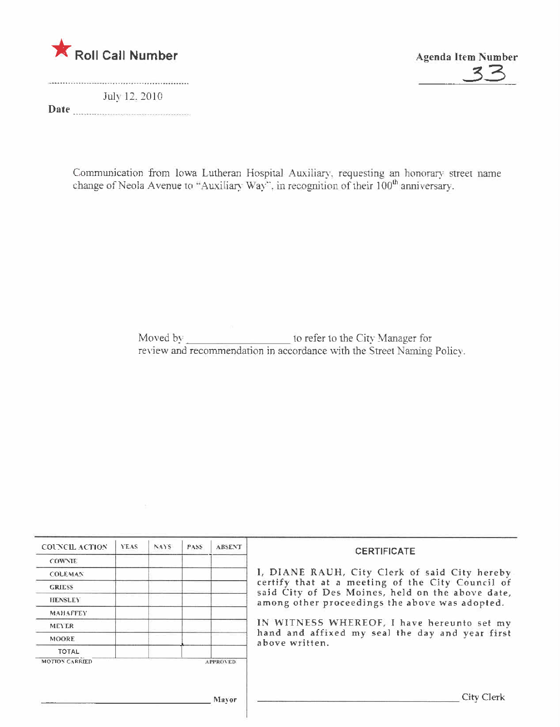

July 12, 2010 Date manufacturers and the contract of the contract of the contract of the contract of the contract of the contract of the contract of the contract of the contract of the contract of the contract of the contract of the con



Communication from Iowa Lutheran Hospital Auxiliary, requesting an honorary street name change of Neola Avenue to "Auxiliary Way", in recognition of their 100<sup>th</sup> anniversary.

| <b>COUNCIL ACTION</b>           | <b>YEAS</b> | NAYS. | PASS. | <b>ABSENT</b>   | <b>CERTIFICATE</b>                                                                                   |  |  |  |
|---------------------------------|-------------|-------|-------|-----------------|------------------------------------------------------------------------------------------------------|--|--|--|
| <b>COWNIE</b>                   |             |       |       |                 |                                                                                                      |  |  |  |
| <b>COLEMAN</b><br><b>GRIESS</b> |             |       |       |                 | I, DIANE RAUH, City Clerk of said City hereby                                                        |  |  |  |
|                                 |             |       |       |                 | certify that at a meeting of the City Council of<br>said City of Des Moines, held on the above date, |  |  |  |
| <b>HENSLEY</b>                  |             |       |       |                 | among other proceedings the above was adopted.                                                       |  |  |  |
| <b>MAHAFFEY</b>                 |             |       |       |                 |                                                                                                      |  |  |  |
| <b>MEYER</b>                    |             |       |       |                 | IN WITNESS WHEREOF, I have hereunto set my                                                           |  |  |  |
| <b>MOORE</b>                    |             |       |       |                 | hand and affixed my seal the day and year first<br>above written.                                    |  |  |  |
| TOTAL                           |             |       |       |                 |                                                                                                      |  |  |  |
| <b>MOTION CARRIED</b>           |             |       |       | <b>APPROVED</b> |                                                                                                      |  |  |  |
|                                 |             |       |       |                 |                                                                                                      |  |  |  |
|                                 |             |       |       | Mayor           | City Clerk                                                                                           |  |  |  |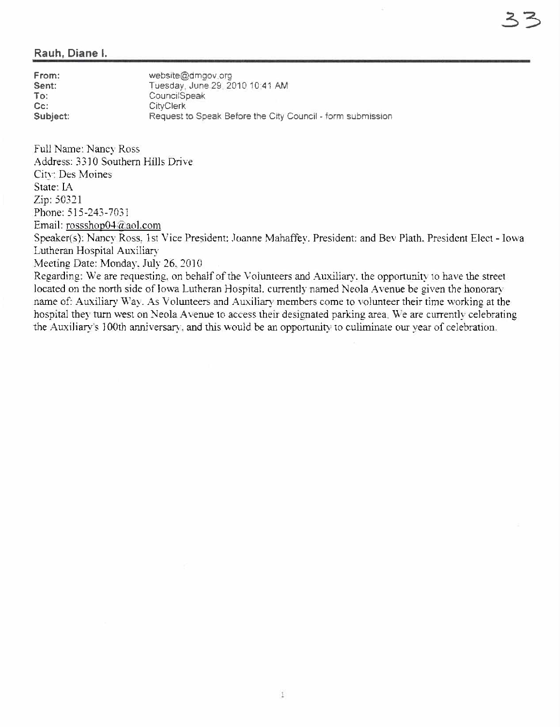## Rauh, Diane L

From: Sent: To: Cc: Subject: website@dmgov.org Tuesday, June 29,201010:41 AM CouncilSpeak CityClerk Request to Speak Before the City Council - form submission

Full Name: Nancy Ross Address: 3310 Southern Hils Drive City: Des Moines State: IA Zip: 50321 Phone: 515-243-7031 Email: rossshop04@aol.com

Speaker(s): Nancy Ross, 1st Vice President: Joanne Mahaffey. President: and Bey Plath. President Elect - Iowa Lutheran Hospital Auxiliary

Meeting Date: Monday. July 26, 2010.

Regarding: We are requesting, on behalf of the Volunteers and Auxiliary, the opportunity to have the street located on the north side of Iowa Lutheran Hospital. currently named Neola Avenue be given the honorary name of: Auxiliary Way. As Volunteers and Auxiliary members come to volunteer their time working at the hospital they turn west on Neola Avenue to access their designated parking area. We are currently celebrating the Auxiliary's 100th anniversary, and this would be an opportunity to culiminate our year of celebration.